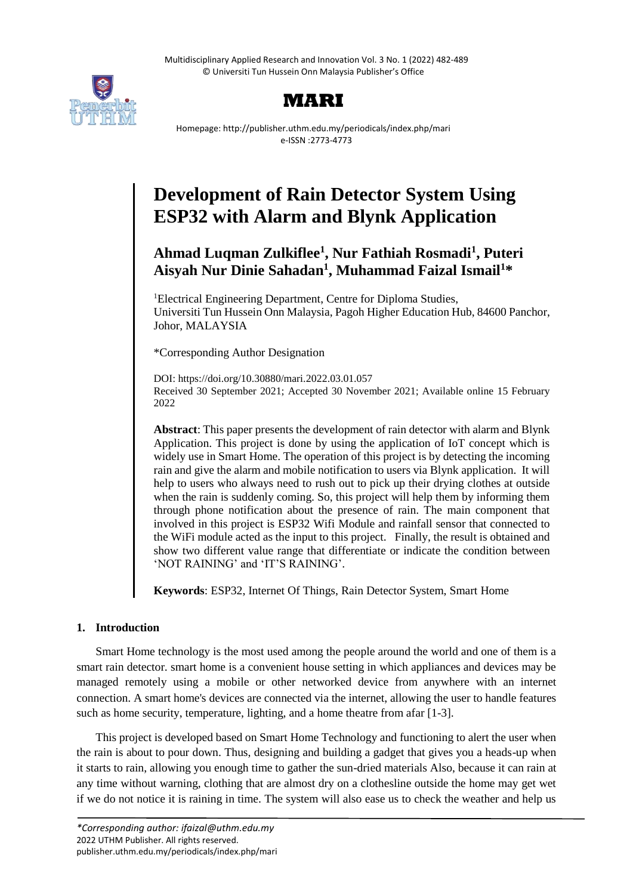Multidisciplinary Applied Research and Innovation Vol. 3 No. 1 (2022) 482-489 © Universiti Tun Hussein Onn Malaysia Publisher's Office





Homepage: http://publisher.uthm.edu.my/periodicals/index.php/mari e-ISSN :2773-4773

# **Development of Rain Detector System Using ESP32 with Alarm and Blynk Application**

# **Ahmad Luqman Zulkiflee<sup>1</sup> , Nur Fathiah Rosmadi<sup>1</sup> , Puteri Aisyah Nur Dinie Sahadan<sup>1</sup> , Muhammad Faizal Ismail<sup>1</sup>\***

<sup>1</sup>Electrical Engineering Department, Centre for Diploma Studies, Universiti Tun Hussein Onn Malaysia, Pagoh Higher Education Hub, 84600 Panchor, Johor, MALAYSIA

\*Corresponding Author Designation

DOI: https://doi.org/10.30880/mari.2022.03.01.057 Received 30 September 2021; Accepted 30 November 2021; Available online 15 February 2022

**Abstract**: This paper presents the development of rain detector with alarm and Blynk Application. This project is done by using the application of IoT concept which is widely use in Smart Home. The operation of this project is by detecting the incoming rain and give the alarm and mobile notification to users via Blynk application. It will help to users who always need to rush out to pick up their drying clothes at outside when the rain is suddenly coming. So, this project will help them by informing them through phone notification about the presence of rain. The main component that involved in this project is ESP32 Wifi Module and rainfall sensor that connected to the WiFi module acted as the input to this project. Finally, the result is obtained and show two different value range that differentiate or indicate the condition between 'NOT RAINING' and 'IT'S RAINING'.

**Keywords**: ESP32, Internet Of Things, Rain Detector System, Smart Home

# **1. Introduction**

Smart Home technology is the most used among the people around the world and one of them is a smart rain detector. smart home is a convenient house setting in which appliances and devices may be managed remotely using a mobile or other networked device from anywhere with an internet connection. A smart home's devices are connected via the internet, allowing the user to handle features such as home security, temperature, lighting, and a home theatre from afar [1-3].

This project is developed based on Smart Home Technology and functioning to alert the user when the rain is about to pour down. Thus, designing and building a gadget that gives you a heads-up when it starts to rain, allowing you enough time to gather the sun-dried materials Also, because it can rain at any time without warning, clothing that are almost dry on a clothesline outside the home may get wet if we do not notice it is raining in time. The system will also ease us to check the weather and help us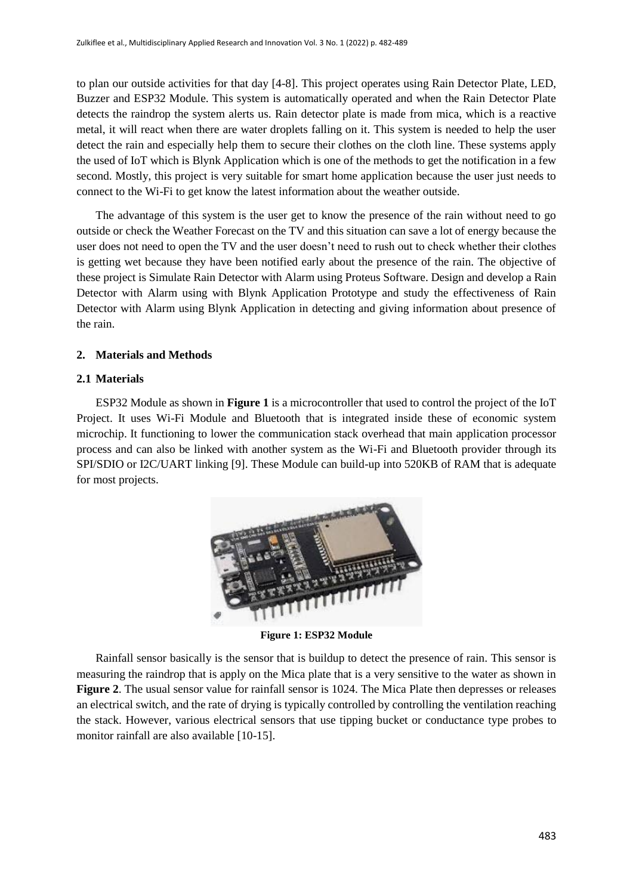to plan our outside activities for that day [4-8]. This project operates using Rain Detector Plate, LED, Buzzer and ESP32 Module. This system is automatically operated and when the Rain Detector Plate detects the raindrop the system alerts us. Rain detector plate is made from mica, which is a reactive metal, it will react when there are water droplets falling on it. This system is needed to help the user detect the rain and especially help them to secure their clothes on the cloth line. These systems apply the used of IoT which is Blynk Application which is one of the methods to get the notification in a few second. Mostly, this project is very suitable for smart home application because the user just needs to connect to the Wi-Fi to get know the latest information about the weather outside.

The advantage of this system is the user get to know the presence of the rain without need to go outside or check the Weather Forecast on the TV and this situation can save a lot of energy because the user does not need to open the TV and the user doesn't need to rush out to check whether their clothes is getting wet because they have been notified early about the presence of the rain. The objective of these project is Simulate Rain Detector with Alarm using Proteus Software. Design and develop a Rain Detector with Alarm using with Blynk Application Prototype and study the effectiveness of Rain Detector with Alarm using Blynk Application in detecting and giving information about presence of the rain.

# **2. Materials and Methods**

# **2.1 Materials**

ESP32 Module as shown in **Figure 1** is a microcontroller that used to control the project of the IoT Project. It uses Wi-Fi Module and Bluetooth that is integrated inside these of economic system microchip. It functioning to lower the communication stack overhead that main application processor process and can also be linked with another system as the Wi-Fi and Bluetooth provider through its SPI/SDIO or I2C/UART linking [9]. These Module can build-up into 520KB of RAM that is adequate for most projects.



**Figure 1: ESP32 Module**

Rainfall sensor basically is the sensor that is buildup to detect the presence of rain. This sensor is measuring the raindrop that is apply on the Mica plate that is a very sensitive to the water as shown in **Figure 2**. The usual sensor value for rainfall sensor is 1024. The Mica Plate then depresses or releases an electrical switch, and the rate of drying is typically controlled by controlling the ventilation reaching the stack. However, various electrical sensors that use tipping bucket or conductance type probes to monitor rainfall are also available [10-15].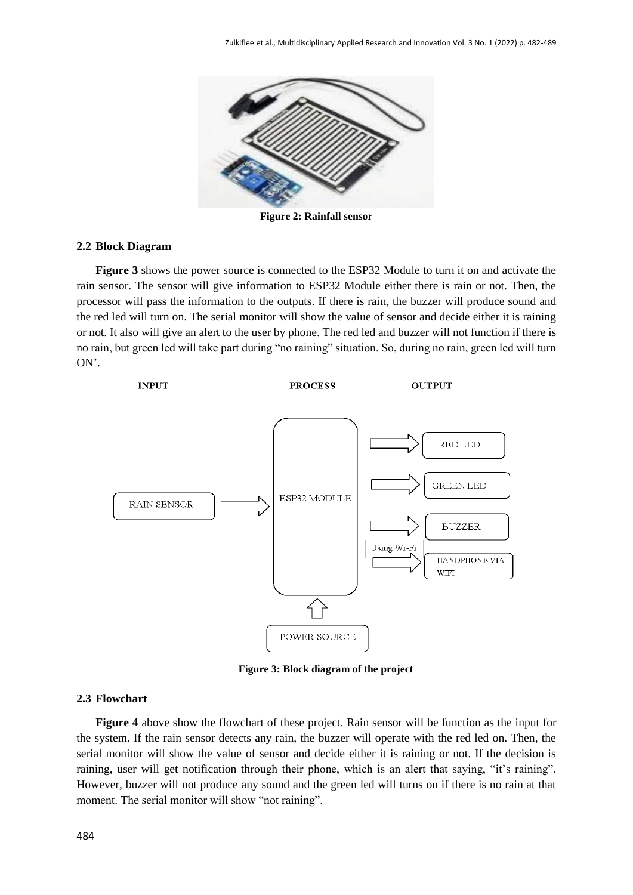

**Figure 2: Rainfall sensor**

#### **2.2 Block Diagram**

**Figure 3** shows the power source is connected to the ESP32 Module to turn it on and activate the rain sensor. The sensor will give information to ESP32 Module either there is rain or not. Then, the processor will pass the information to the outputs. If there is rain, the buzzer will produce sound and the red led will turn on. The serial monitor will show the value of sensor and decide either it is raining or not. It also will give an alert to the user by phone. The red led and buzzer will not function if there is no rain, but green led will take part during "no raining" situation. So, during no rain, green led will turn ON'.



**Figure 3: Block diagram of the project**

### **2.3 Flowchart**

**Figure 4** above show the flowchart of these project. Rain sensor will be function as the input for the system. If the rain sensor detects any rain, the buzzer will operate with the red led on. Then, the serial monitor will show the value of sensor and decide either it is raining or not. If the decision is raining, user will get notification through their phone, which is an alert that saying, "it's raining". However, buzzer will not produce any sound and the green led will turns on if there is no rain at that moment. The serial monitor will show "not raining".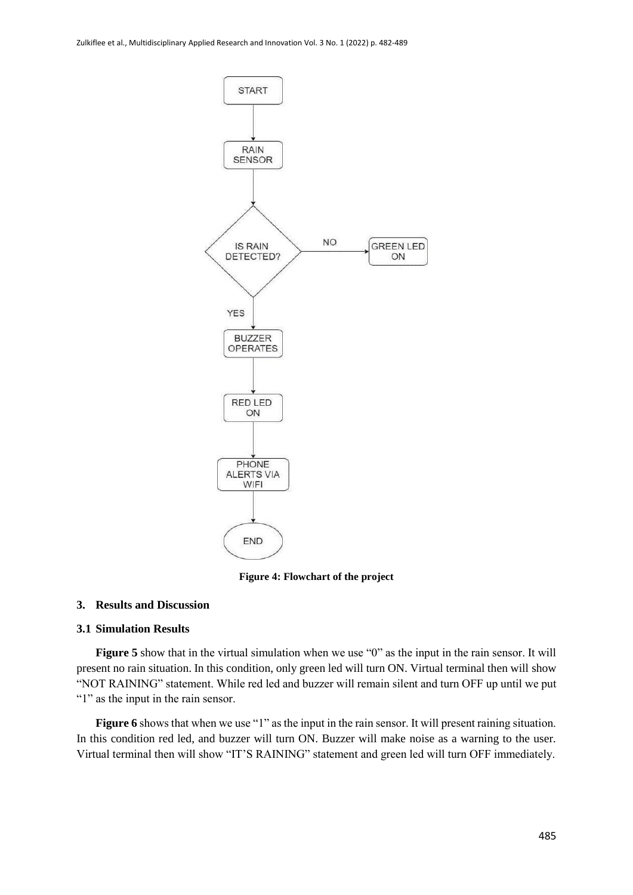

**Figure 4: Flowchart of the project**

# **3. Results and Discussion**

#### **3.1 Simulation Results**

**Figure 5** show that in the virtual simulation when we use "0" as the input in the rain sensor. It will present no rain situation. In this condition, only green led will turn ON. Virtual terminal then will show "NOT RAINING" statement. While red led and buzzer will remain silent and turn OFF up until we put "1" as the input in the rain sensor.

**Figure 6** shows that when we use "1" as the input in the rain sensor. It will present raining situation. In this condition red led, and buzzer will turn ON. Buzzer will make noise as a warning to the user. Virtual terminal then will show "IT'S RAINING" statement and green led will turn OFF immediately.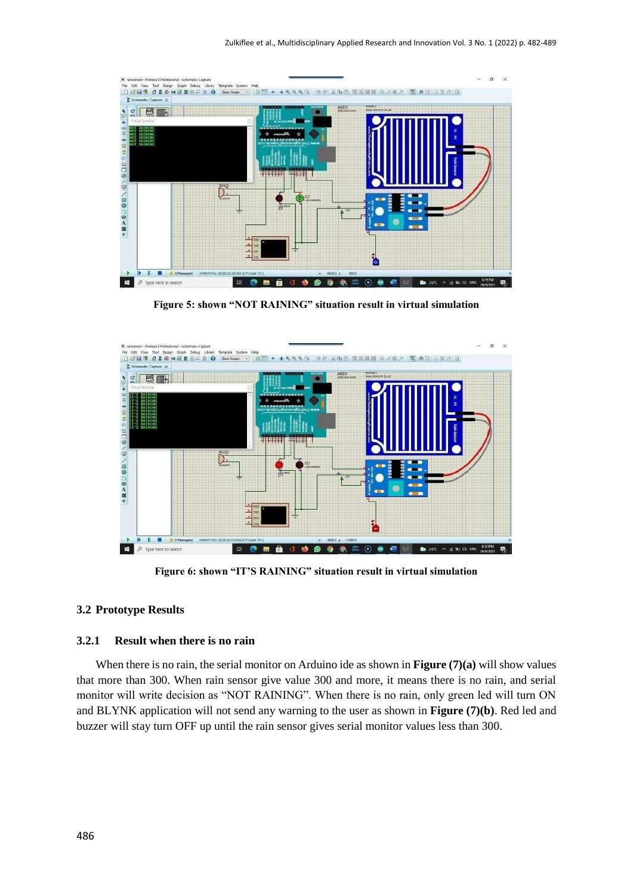

**Figure 5: shown "NOT RAINING" situation result in virtual simulation**



**Figure 6: shown "IT'S RAINING" situation result in virtual simulation**

# **3.2 Prototype Results**

#### **3.2.1 Result when there is no rain**

When there is no rain, the serial monitor on Arduino ide as shown in **Figure (7)(a)** will show values that more than 300. When rain sensor give value 300 and more, it means there is no rain, and serial monitor will write decision as "NOT RAINING". When there is no rain, only green led will turn ON and BLYNK application will not send any warning to the user as shown in **Figure (7)(b)**. Red led and buzzer will stay turn OFF up until the rain sensor gives serial monitor values less than 300.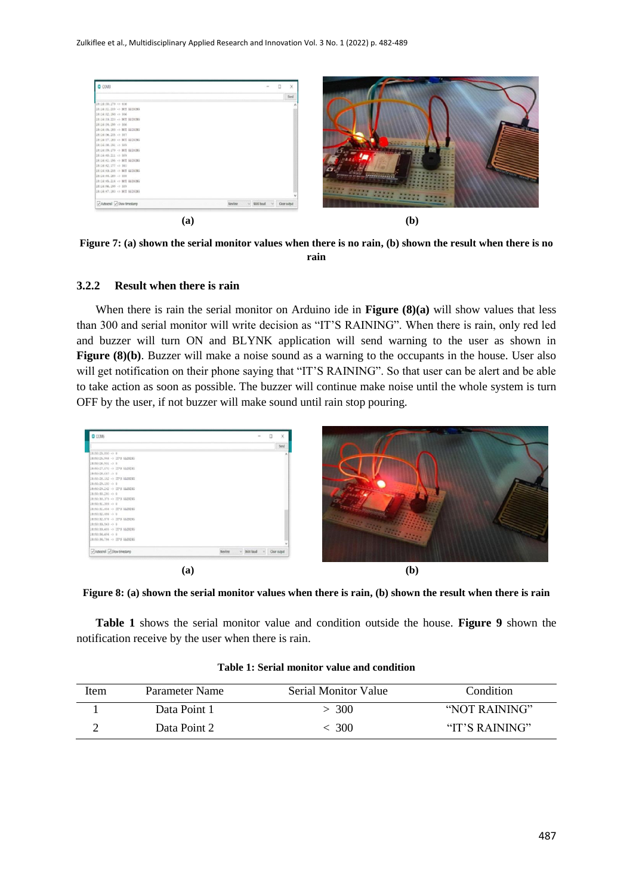

**Figure 7: (a) shown the serial monitor values when there is no rain, (b) shown the result when there is no rain**

#### **3.2.2 Result when there is rain**

When there is rain the serial monitor on Arduino ide in **Figure (8)(a)** will show values that less than 300 and serial monitor will write decision as "IT'S RAINING". When there is rain, only red led and buzzer will turn ON and BLYNK application will send warning to the user as shown in **Figure (8)(b)**. Buzzer will make a noise sound as a warning to the occupants in the house. User also will get notification on their phone saying that "IT'S RAINING". So that user can be alert and be able to take action as soon as possible. The buzzer will continue make noise until the whole system is turn OFF by the user, if not buzzer will make sound until rain stop pouring.



**Figure 8: (a) shown the serial monitor values when there is rain, (b) shown the result when there is rain**

**Table 1** shows the serial monitor value and condition outside the house. **Figure 9** shown the notification receive by the user when there is rain.

| Item | Parameter Name | Serial Monitor Value | Condition      |
|------|----------------|----------------------|----------------|
|      | Data Point 1   | > 300                | "NOT RAINING"  |
|      | Data Point 2   | -300                 | "IT'S RAINING" |

| Table 1: Serial monitor value and condition |  |  |
|---------------------------------------------|--|--|
|---------------------------------------------|--|--|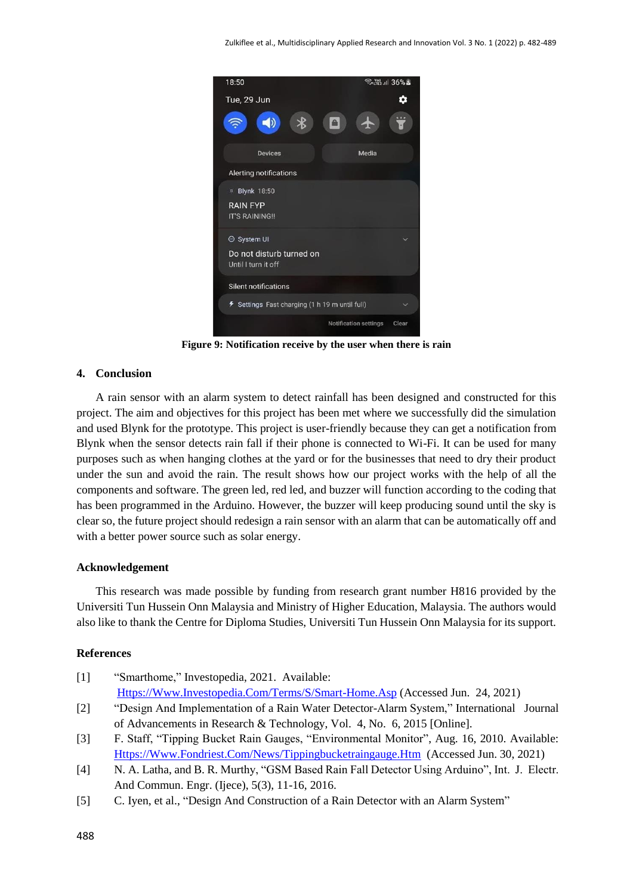

**Figure 9: Notification receive by the user when there is rain** 

# **4. Conclusion**

A rain sensor with an alarm system to detect rainfall has been designed and constructed for this project. The aim and objectives for this project has been met where we successfully did the simulation and used Blynk for the prototype. This project is user-friendly because they can get a notification from Blynk when the sensor detects rain fall if their phone is connected to Wi-Fi. It can be used for many purposes such as when hanging clothes at the yard or for the businesses that need to dry their product under the sun and avoid the rain. The result shows how our project works with the help of all the components and software. The green led, red led, and buzzer will function according to the coding that has been programmed in the Arduino. However, the buzzer will keep producing sound until the sky is clear so, the future project should redesign a rain sensor with an alarm that can be automatically off and with a better power source such as solar energy.

# **Acknowledgement**

This research was made possible by funding from research grant number H816 provided by the Universiti Tun Hussein Onn Malaysia and Ministry of Higher Education, Malaysia. The authors would also like to thank the Centre for Diploma Studies, Universiti Tun Hussein Onn Malaysia for its support.

# **References**

- [1] "Smarthome," Investopedia, 2021. [A](http://www.investopedia.com/terms/s/smart-home.asp)vailable: [Https://Www.Investopedia.Com/Terms/S/Smart-Home.Asp](https://www.investopedia.com/Terms/S/Smart-Home.Asp) (Accessed Jun. 24, 2021)
- [2] "Design And Implementation of a Rain Water Detector-Alarm System," International Journal of Advancements in Research & Technology, Vol. 4, No. 6, 2015 [Online].
- [3] F. Staff, "Tipping Bucket Rain Gauges, "Environmental Monitor", Aug. 16, 2010. Available: [Https://Www.Fondriest.Com/News/Tippingbucketraingauge.Htm](https://www.fondriest.com/News/Tippingbucketraingauge.Htm) [\(](http://www.fondriest.com/news/tippingbucketraingauge.htm)Accessed Jun. 30, 2021)
- [4] N. A. Latha, and B. R. Murthy, "GSM Based Rain Fall Detector Using Arduino", Int. J. Electr. And Commun. Engr. (Ijece), 5(3), 11-16, 2016.
- [5] C. Iyen, et al., "Design And Construction of a Rain Detector with an Alarm System"